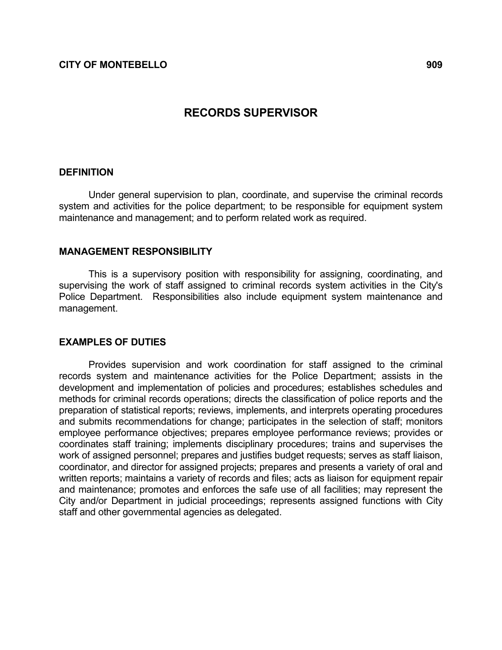# RECORDS SUPERVISOR

#### **DEFINITION**

 Under general supervision to plan, coordinate, and supervise the criminal records system and activities for the police department; to be responsible for equipment system maintenance and management; and to perform related work as required.

#### MANAGEMENT RESPONSIBILITY

 This is a supervisory position with responsibility for assigning, coordinating, and supervising the work of staff assigned to criminal records system activities in the City's Police Department. Responsibilities also include equipment system maintenance and management.

#### EXAMPLES OF DUTIES

 Provides supervision and work coordination for staff assigned to the criminal records system and maintenance activities for the Police Department; assists in the development and implementation of policies and procedures; establishes schedules and methods for criminal records operations; directs the classification of police reports and the preparation of statistical reports; reviews, implements, and interprets operating procedures and submits recommendations for change; participates in the selection of staff; monitors employee performance objectives; prepares employee performance reviews; provides or coordinates staff training; implements disciplinary procedures; trains and supervises the work of assigned personnel; prepares and justifies budget requests; serves as staff liaison, coordinator, and director for assigned projects; prepares and presents a variety of oral and written reports; maintains a variety of records and files; acts as liaison for equipment repair and maintenance; promotes and enforces the safe use of all facilities; may represent the City and/or Department in judicial proceedings; represents assigned functions with City staff and other governmental agencies as delegated.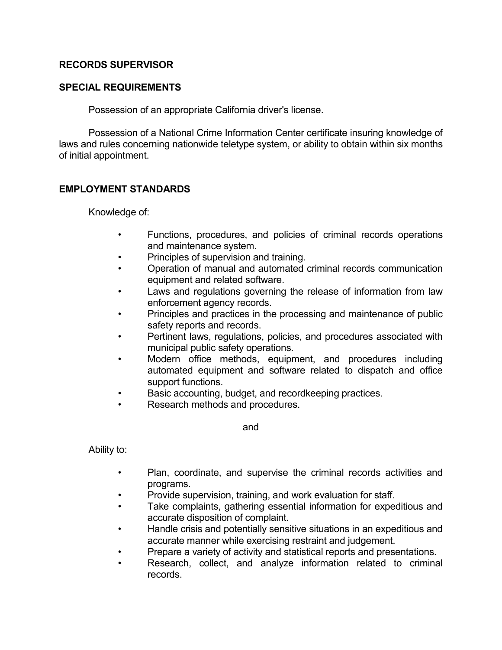### RECORDS SUPERVISOR

### SPECIAL REQUIREMENTS

Possession of an appropriate California driver's license.

 Possession of a National Crime Information Center certificate insuring knowledge of laws and rules concerning nationwide teletype system, or ability to obtain within six months of initial appointment.

## EMPLOYMENT STANDARDS

Knowledge of:

- Functions, procedures, and policies of criminal records operations and maintenance system.
- Principles of supervision and training.
- Operation of manual and automated criminal records communication equipment and related software.
- Laws and regulations governing the release of information from law enforcement agency records.
- Principles and practices in the processing and maintenance of public safety reports and records.
- Pertinent laws, regulations, policies, and procedures associated with municipal public safety operations.
- Modern office methods, equipment, and procedures including automated equipment and software related to dispatch and office support functions.
- Basic accounting, budget, and recordkeeping practices.
	- Research methods and procedures.

and

Ability to:

- Plan, coordinate, and supervise the criminal records activities and programs.
- Provide supervision, training, and work evaluation for staff.
- Take complaints, gathering essential information for expeditious and accurate disposition of complaint.
- Handle crisis and potentially sensitive situations in an expeditious and accurate manner while exercising restraint and judgement.
- Prepare a variety of activity and statistical reports and presentations.
- Research, collect, and analyze information related to criminal records.